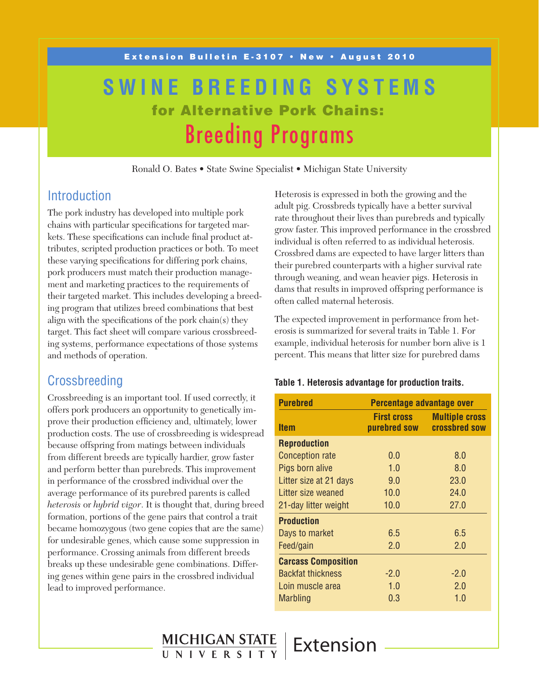# **SWINE BREEDING SYSTEMS** for Alternative Pork Chains: Breeding Programs

Ronald O. Bates • State Swine Specialist • Michigan State University

 $HICHIGAN STATE   
 UNIVERSTITY   
 EXtension$ </u>

## **Introduction**

The pork industry has developed into multiple pork chains with particular specifications for targeted markets. These specifications can include final product attributes, scripted production practices or both. To meet these varying specifications for differing pork chains, pork producers must match their production management and marketing practices to the requirements of their targeted market. This includes developing a breeding program that utilizes breed combinations that best align with the specifications of the pork chain(s) they target. This fact sheet will compare various crossbreeding systems, performance expectations of those systems and methods of operation.

## Crossbreeding

Crossbreeding is an important tool. If used correctly, it offers pork producers an opportunity to genetically improve their production efficiency and, ultimately, lower production costs. The use of crossbreeding is widespread because offspring from matings between individuals from different breeds are typically hardier, grow faster and perform better than purebreds. This improvement in performance of the crossbred individual over the average performance of its purebred parents is called *heterosis* or *hybrid vigor*. It is thought that, during breed formation, portions of the gene pairs that control a trait became homozygous (two gene copies that are the same) for undesirable genes, which cause some suppression in performance. Crossing animals from different breeds breaks up these undesirable gene combinations. Differing genes within gene pairs in the crossbred individual lead to improved performance.

Heterosis is expressed in both the growing and the adult pig. Crossbreds typically have a better survival rate throughout their lives than purebreds and typically grow faster. This improved performance in the crossbred individual is often referred to as individual heterosis. Crossbred dams are expected to have larger litters than their purebred counterparts with a higher survival rate through weaning, and wean heavier pigs. Heterosis in dams that results in improved offspring performance is often called maternal heterosis.

The expected improvement in performance from heterosis is summarized for several traits in Table 1. For example, individual heterosis for number born alive is 1 percent. This means that litter size for purebred dams

#### **Table 1. Heterosis advantage for production traits.**

| <b>Purebred</b>            | Percentage advantage over          |                                               |  |  |
|----------------------------|------------------------------------|-----------------------------------------------|--|--|
| ltem                       | <b>First cross</b><br>purebred sow | <b>Multiple cross</b><br><b>crossbred sow</b> |  |  |
| <b>Reproduction</b>        |                                    |                                               |  |  |
| <b>Conception rate</b>     | 0.0                                | 8.0                                           |  |  |
| Pigs born alive            | 1.0                                | 8.0                                           |  |  |
| Litter size at 21 days     | 9.0                                | 23.0                                          |  |  |
| Litter size weaned         | 10.0                               | 24.0                                          |  |  |
| 21-day litter weight       | 10.0                               | 27.0                                          |  |  |
| <b>Production</b>          |                                    |                                               |  |  |
| Days to market             | 6.5                                | 6.5                                           |  |  |
| Feed/gain                  | 2.0                                | 2.0                                           |  |  |
| <b>Carcass Composition</b> |                                    |                                               |  |  |
| <b>Backfat thickness</b>   | $-2.0$                             | $-2.0$                                        |  |  |
| Loin muscle area           | 1.0                                | 2.0                                           |  |  |
| Marbling                   | 0.3                                | 1.0                                           |  |  |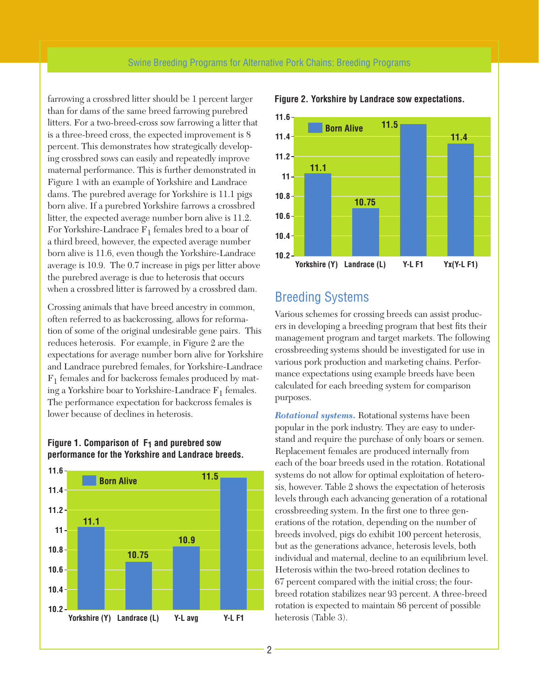farrowing a crossbred litter should be 1 percent larger than for dams of the same breed farrowing purebred litters. For a two-breed-cross sow farrowing a litter that is a three-breed cross, the expected improvement is 8 percent. This demonstrates how strategically developing crossbred sows can easily and repeatedly improve maternal performance. This is further demonstrated in Figure 1 with an example of Yorkshire and Landrace dams. The purebred average for Yorkshire is 11.1 pigs born alive. If a purebred Yorkshire farrows a crossbred litter, the expected average number born alive is 11.2. For Yorkshire-Landrace  $F_1$  females bred to a boar of a third breed, however, the expected average number born alive is 11.6, even though the Yorkshire-Landrace average is 10.9. The 0.7 increase in pigs per litter above the purebred average is due to heterosis that occurs when a crossbred litter is farrowed by a crossbred dam.

Crossing animals that have breed ancestry in common, often referred to as backcrossing, allows for reformation of some of the original undesirable gene pairs. This reduces heterosis. For example, in Figure 2 are the expectations for average number born alive for Yorkshire and Landrace purebred females, for Yorkshire-Landrace  $F_1$  females and for backcross females produced by mating a Yorkshire boar to Yorkshire-Landrace  $F_1$  females. The performance expectation for backcross females is lower because of declines in heterosis.

#### **Figure 1. Comparison of F1 and purebred sow performance for the Yorkshire and Landrace breeds.**





#### **Figure 2. Yorkshire by Landrace sow expectations.**

## Breeding Systems

Various schemes for crossing breeds can assist producers in developing a breeding program that best fits their management program and target markets. The following crossbreeding systems should be investigated for use in various pork production and marketing chains. Performance expectations using example breeds have been calculated for each breeding system for comparison purposes.

*Rotational systems.* Rotational systems have been popular in the pork industry. They are easy to understand and require the purchase of only boars or semen. Replacement females are produced internally from each of the boar breeds used in the rotation. Rotational systems do not allow for optimal exploitation of heterosis, however. Table 2 shows the expectation of heterosis levels through each advancing generation of a rotational crossbreeding system. In the first one to three generations of the rotation, depending on the number of breeds involved, pigs do exhibit 100 percent heterosis, but as the generations advance, heterosis levels, both individual and maternal, decline to an equilibrium level. Heterosis within the two-breed rotation declines to 67 percent compared with the initial cross; the fourbreed rotation stabilizes near 93 percent. A three-breed rotation is expected to maintain 86 percent of possible heterosis (Table 3).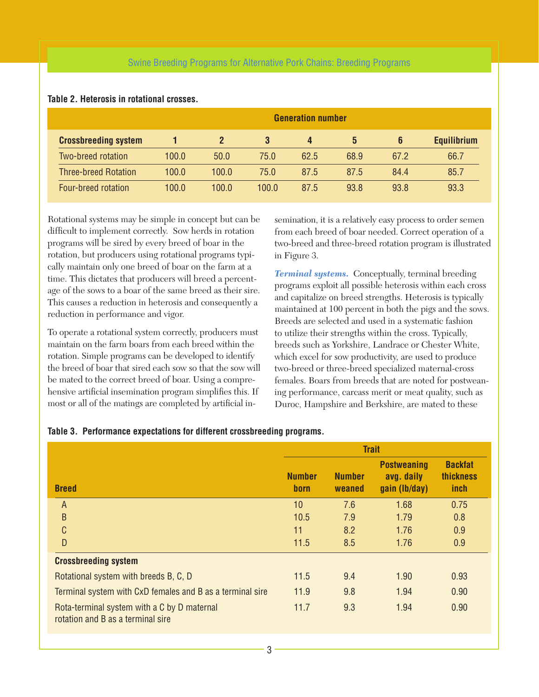### Swine Breeding Programs for Alternative Pork Chains: Breeding Programs

|                             |       |              |       | <b>Generation number</b> |      |      |                    |
|-----------------------------|-------|--------------|-------|--------------------------|------|------|--------------------|
| <b>Crossbreeding system</b> |       | $\mathbf{2}$ | 3     | $\overline{4}$           | 5    | 6    | <b>Equilibrium</b> |
| Two-breed rotation          | 100.0 | 50.0         | 75.0  | 62.5                     | 68.9 | 67.2 | 66.7               |
| <b>Three-breed Rotation</b> | 100.0 | 100.0        | 75.0  | 87.5                     | 87.5 | 84.4 | 85.7               |
| Four-breed rotation         | 100.0 | 100.0        | 100.0 | 87.5                     | 93.8 | 93.8 | 93.3               |

#### **Table 2. Heterosis in rotational crosses.**

Rotational systems may be simple in concept but can be difficult to implement correctly. Sow herds in rotation programs will be sired by every breed of boar in the rotation, but producers using rotational programs typically maintain only one breed of boar on the farm at a time. This dictates that producers will breed a percentage of the sows to a boar of the same breed as their sire. This causes a reduction in heterosis and consequently a reduction in performance and vigor.

To operate a rotational system correctly, producers must maintain on the farm boars from each breed within the rotation. Simple programs can be developed to identify the breed of boar that sired each sow so that the sow will be mated to the correct breed of boar. Using a comprehensive artificial insemination program simplifies this. If most or all of the matings are completed by artificial insemination, it is a relatively easy process to order semen from each breed of boar needed. Correct operation of a two-breed and three-breed rotation program is illustrated in Figure 3.

*Terminal systems.* Conceptually, terminal breeding programs exploit all possible heterosis within each cross and capitalize on breed strengths. Heterosis is typically maintained at 100 percent in both the pigs and the sows. Breeds are selected and used in a systematic fashion to utilize their strengths within the cross. Typically, breeds such as Yorkshire, Landrace or Chester White, which excel for sow productivity, are used to produce two-breed or three-breed specialized maternal-cross females. Boars from breeds that are noted for postweaning performance, carcass merit or meat quality, such as Duroc, Hampshire and Berkshire, are mated to these

#### **Table 3. Performance expectations for different crossbreeding programs.**

|                                                                                  | <b>Trait</b>          |                         |                                                   |                                     |
|----------------------------------------------------------------------------------|-----------------------|-------------------------|---------------------------------------------------|-------------------------------------|
| <b>Breed</b>                                                                     | <b>Number</b><br>born | <b>Number</b><br>weaned | <b>Postweaning</b><br>avg. daily<br>gain (lb/day) | <b>Backfat</b><br>thickness<br>inch |
| A                                                                                | 10                    | 7.6                     | 1.68                                              | 0.75                                |
| B                                                                                | 10.5                  | 7.9                     | 1.79                                              | 0.8                                 |
| C                                                                                | 11                    | 8.2                     | 1.76                                              | 0.9                                 |
| D                                                                                | 11.5                  | 8.5                     | 1.76                                              | 0.9                                 |
| <b>Crossbreeding system</b>                                                      |                       |                         |                                                   |                                     |
| Rotational system with breeds B, C, D                                            | 11.5                  | 9.4                     | 1.90                                              | 0.93                                |
| Terminal system with CxD females and B as a terminal sire                        | 11.9                  | 9.8                     | 1.94                                              | 0.90                                |
| Rota-terminal system with a C by D maternal<br>rotation and B as a terminal sire | 11.7                  | 9.3                     | 1.94                                              | 0.90                                |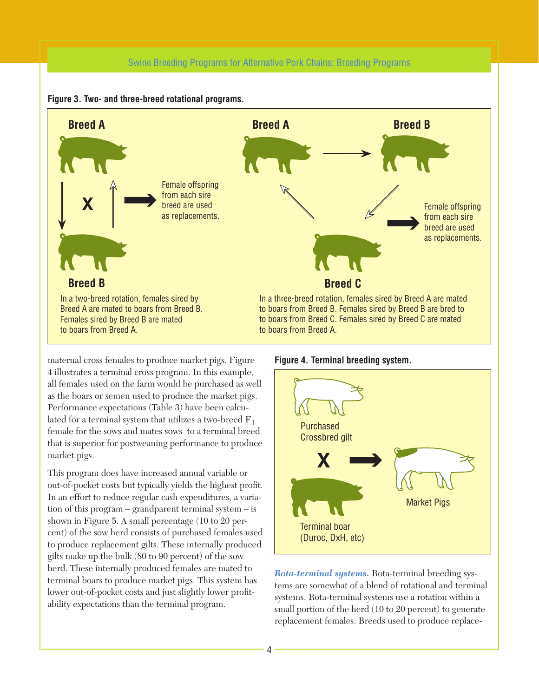#### Swine Breeding Programs for Alternative Pork Chains: Breeding Programs





maternal cross females to produce market pigs. Figure 4 illustrates a terminal cross program. In this example, all females used on the farm would be purchased as well as the boars or semen used to produce the market pigs. Performance expectations (Table 3) have been calculated for a terminal system that utilizes a two-breed  $F_1$ female for the sows and mates sows to a terminal breed that is superior for postweaning performance to produce market pigs.

This program does have increased annual variable or out-of-pocket costs but typically yields the highest profit. In an effort to reduce regular cash expenditures, a variation of this program – grandparent terminal system – is shown in Figure 5. A small percentage (10 to 20 percent) of the sow herd consists of purchased females used to produce replacement gilts. These internally produced gilts make up the bulk (80 to 90 percent) of the sow herd. These internally produced females are mated to terminal boars to produce market pigs. This system has lower out-of-pocket costs and just slightly lower profitability expectations than the terminal program.





*Rota-terminal systems.* Rota-terminal breeding systems are somewhat of a blend of rotational and terminal systems. Rota-terminal systems use a rotation within a small portion of the herd (10 to 20 percent) to generate replacement females. Breeds used to produce replace-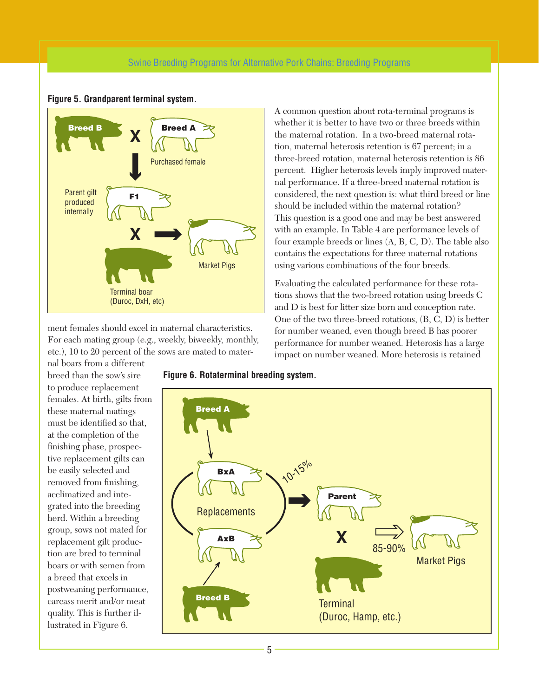#### Swine Breeding Programs for Alternative Pork Chains: Breeding Programs



#### **Figure 5. Grandparent terminal system.**

ment females should excel in maternal characteristics. For each mating group (e.g., weekly, biweekly, monthly, etc.), 10 to 20 percent of the sows are mated to mater-

A common question about rota-terminal programs is whether it is better to have two or three breeds within the maternal rotation. In a two-breed maternal rotation, maternal heterosis retention is 67 percent; in a three-breed rotation, maternal heterosis retention is 86 percent. Higher heterosis levels imply improved maternal performance. If a three-breed maternal rotation is considered, the next question is: what third breed or line should be included within the maternal rotation? This question is a good one and may be best answered with an example. In Table 4 are performance levels of four example breeds or lines (A, B, C, D). The table also contains the expectations for three maternal rotations using various combinations of the four breeds.

Evaluating the calculated performance for these rotations shows that the two-breed rotation using breeds C and D is best for litter size born and conception rate. One of the two three-breed rotations, (B, C, D) is better for number weaned, even though breed B has poorer performance for number weaned. Heterosis has a large impact on number weaned. More heterosis is retained

nal boars from a different breed than the sow's sire to produce replacement females. At birth, gilts from these maternal matings must be identified so that, at the completion of the finishing phase, prospective replacement gilts can be easily selected and removed from finishing, acclimatized and integrated into the breeding herd. Within a breeding group, sows not mated for replacement gilt production are bred to terminal boars or with semen from a breed that excels in postweaning performance, carcass merit and/or meat quality. This is further illustrated in Figure 6.

**Figure 6. Rotaterminal breeding system.**



5